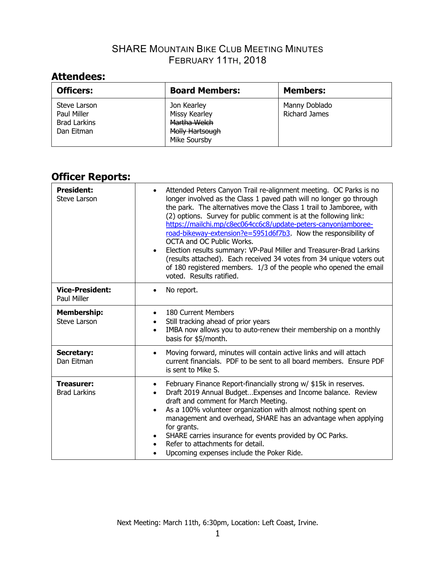# **Attendees:**

| <b>Officers:</b>                                                 | <b>Board Members:</b>                                                                  | <b>Members:</b>                       |
|------------------------------------------------------------------|----------------------------------------------------------------------------------------|---------------------------------------|
| Steve Larson<br>Paul Miller<br><b>Brad Larkins</b><br>Dan Eitman | Jon Kearley<br><b>Missy Kearley</b><br>Martha Welch<br>Molly Hartsough<br>Mike Soursby | Manny Doblado<br><b>Richard James</b> |

# **Officer Reports:**

| <b>President:</b><br><b>Steve Larson</b>  | Attended Peters Canyon Trail re-alignment meeting. OC Parks is no<br>longer involved as the Class 1 paved path will no longer go through<br>the park. The alternatives move the Class 1 trail to Jamboree, with<br>(2) options. Survey for public comment is at the following link:<br>https://mailchi.mp/c8ec064cc6c8/update-peters-canyonjamboree-<br>road-bikeway-extension?e=5951d6f7b3. Now the responsibility of<br>OCTA and OC Public Works.<br>Election results summary: VP-Paul Miller and Treasurer-Brad Larkins<br>(results attached). Each received 34 votes from 34 unique voters out<br>of 180 registered members. 1/3 of the people who opened the email<br>voted. Results ratified. |
|-------------------------------------------|-----------------------------------------------------------------------------------------------------------------------------------------------------------------------------------------------------------------------------------------------------------------------------------------------------------------------------------------------------------------------------------------------------------------------------------------------------------------------------------------------------------------------------------------------------------------------------------------------------------------------------------------------------------------------------------------------------|
| <b>Vice-President:</b><br>Paul Miller     | No report.                                                                                                                                                                                                                                                                                                                                                                                                                                                                                                                                                                                                                                                                                          |
| <b>Membership:</b><br><b>Steve Larson</b> | 180 Current Members<br>Still tracking ahead of prior years<br>IMBA now allows you to auto-renew their membership on a monthly<br>$\bullet$<br>basis for \$5/month.                                                                                                                                                                                                                                                                                                                                                                                                                                                                                                                                  |
| <b>Secretary:</b><br>Dan Eitman           | Moving forward, minutes will contain active links and will attach<br>current financials. PDF to be sent to all board members. Ensure PDF<br>is sent to Mike S.                                                                                                                                                                                                                                                                                                                                                                                                                                                                                                                                      |
| <b>Treasurer:</b><br><b>Brad Larkins</b>  | February Finance Report-financially strong w/ \$15k in reserves.<br>Draft 2019 Annual Budget Expenses and Income balance. Review<br>draft and comment for March Meeting.<br>As a 100% volunteer organization with almost nothing spent on<br>$\bullet$<br>management and overhead, SHARE has an advantage when applying<br>for grants.<br>SHARE carries insurance for events provided by OC Parks.<br>Refer to attachments for detail.<br>Upcoming expenses include the Poker Ride.                                                                                                                                                                                                                 |

Next Meeting: March 11th, 6:30pm, Location: Left Coast, Irvine.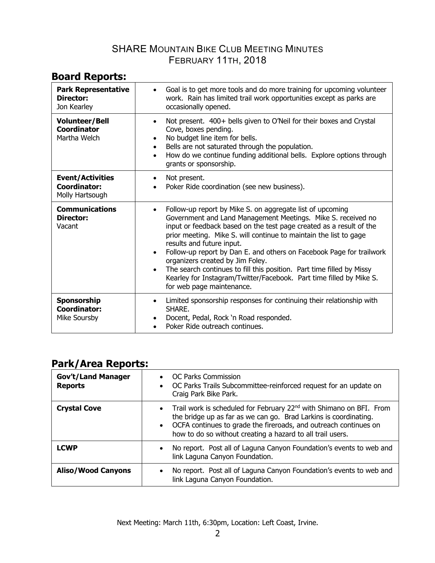# **Board Reports:**

| <b>Park Representative</b><br>Director:<br>Jon Kearley            | Goal is to get more tools and do more training for upcoming volunteer<br>work. Rain has limited trail work opportunities except as parks are<br>occasionally opened.                                                                                                                                                                                                                                                                                                                                                                                                                                                               |
|-------------------------------------------------------------------|------------------------------------------------------------------------------------------------------------------------------------------------------------------------------------------------------------------------------------------------------------------------------------------------------------------------------------------------------------------------------------------------------------------------------------------------------------------------------------------------------------------------------------------------------------------------------------------------------------------------------------|
| <b>Volunteer/Bell</b><br>Coordinator<br>Martha Welch              | Not present. 400+ bells given to O'Neil for their boxes and Crystal<br>$\bullet$<br>Cove, boxes pending.<br>No budget line item for bells.<br>Bells are not saturated through the population.<br>How do we continue funding additional bells. Explore options through<br>$\bullet$<br>grants or sponsorship.                                                                                                                                                                                                                                                                                                                       |
| <b>Event/Activities</b><br><b>Coordinator:</b><br>Molly Hartsough | Not present.<br>$\bullet$<br>Poker Ride coordination (see new business).                                                                                                                                                                                                                                                                                                                                                                                                                                                                                                                                                           |
| <b>Communications</b><br>Director:<br>Vacant                      | Follow-up report by Mike S. on aggregate list of upcoming<br>$\bullet$<br>Government and Land Management Meetings. Mike S. received no<br>input or feedback based on the test page created as a result of the<br>prior meeting. Mike S. will continue to maintain the list to gage<br>results and future input.<br>Follow-up report by Dan E. and others on Facebook Page for trailwork<br>$\bullet$<br>organizers created by Jim Foley.<br>The search continues to fill this position. Part time filled by Missy<br>$\bullet$<br>Kearley for Instagram/Twitter/Facebook. Part time filled by Mike S.<br>for web page maintenance. |
| Sponsorship<br><b>Coordinator:</b><br>Mike Soursby                | Limited sponsorship responses for continuing their relationship with<br>$\bullet$<br>SHARE.<br>Docent, Pedal, Rock 'n Road responded.<br>Poker Ride outreach continues.                                                                                                                                                                                                                                                                                                                                                                                                                                                            |

### **Park/Area Reports:**

| <b>Gov't/Land Manager</b><br><b>Reports</b> | <b>OC Parks Commission</b><br>$\bullet$<br>OC Parks Trails Subcommittee-reinforced request for an update on<br>$\bullet$<br>Craig Park Bike Park.                                                                                                                                                    |
|---------------------------------------------|------------------------------------------------------------------------------------------------------------------------------------------------------------------------------------------------------------------------------------------------------------------------------------------------------|
| <b>Crystal Cove</b>                         | Trail work is scheduled for February 22 <sup>nd</sup> with Shimano on BFI. From<br>$\bullet$<br>the bridge up as far as we can go. Brad Larkins is coordinating.<br>• OCFA continues to grade the fireroads, and outreach continues on<br>how to do so without creating a hazard to all trail users. |
| <b>LCWP</b>                                 | No report. Post all of Laguna Canyon Foundation's events to web and<br>$\bullet$<br>link Laguna Canyon Foundation.                                                                                                                                                                                   |
| <b>Aliso/Wood Canyons</b>                   | No report. Post all of Laguna Canyon Foundation's events to web and<br>$\bullet$<br>link Laguna Canyon Foundation.                                                                                                                                                                                   |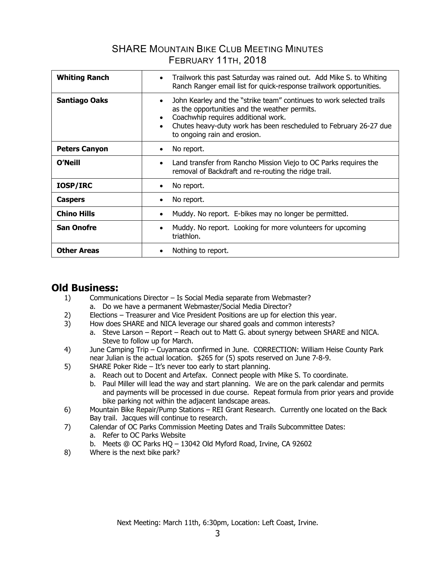| <b>Whiting Ranch</b> | Trailwork this past Saturday was rained out. Add Mike S. to Whiting<br>$\bullet$<br>Ranch Ranger email list for quick-response trailwork opportunities.                                                                                                                                                  |
|----------------------|----------------------------------------------------------------------------------------------------------------------------------------------------------------------------------------------------------------------------------------------------------------------------------------------------------|
| <b>Santiago Oaks</b> | John Kearley and the "strike team" continues to work selected trails<br>$\bullet$<br>as the opportunities and the weather permits.<br>Coachwhip requires additional work.<br>$\bullet$<br>Chutes heavy-duty work has been rescheduled to February 26-27 due<br>$\bullet$<br>to ongoing rain and erosion. |
| <b>Peters Canyon</b> | No report.<br>$\bullet$                                                                                                                                                                                                                                                                                  |
| <b>O'Neill</b>       | Land transfer from Rancho Mission Viejo to OC Parks requires the<br>$\bullet$<br>removal of Backdraft and re-routing the ridge trail.                                                                                                                                                                    |
| <b>IOSP/IRC</b>      | No report.<br>٠                                                                                                                                                                                                                                                                                          |
| <b>Caspers</b>       | No report.<br>$\bullet$                                                                                                                                                                                                                                                                                  |
| <b>Chino Hills</b>   | Muddy. No report. E-bikes may no longer be permitted.<br>$\bullet$                                                                                                                                                                                                                                       |
| <b>San Onofre</b>    | Muddy. No report. Looking for more volunteers for upcoming<br>٠<br>triathlon.                                                                                                                                                                                                                            |
| <b>Other Areas</b>   | Nothing to report.                                                                                                                                                                                                                                                                                       |

### **Old Business:**

- 1) Communications Director Is Social Media separate from Webmaster? a. Do we have a permanent Webmaster/Social Media Director?
- 2) Elections Treasurer and Vice President Positions are up for election this year.
- 3) How does SHARE and NICA leverage our shared goals and common interests?
	- a. Steve Larson Report Reach out to Matt G. about synergy between SHARE and NICA. Steve to follow up for March.
- 4) June Camping Trip Cuyamaca confirmed in June. CORRECTION: William Heise County Park near Julian is the actual location. \$265 for (5) spots reserved on June 7-8-9.
- 5) SHARE Poker Ride It's never too early to start planning.
	- a. Reach out to Docent and Artefax. Connect people with Mike S. To coordinate.
	- b. Paul Miller will lead the way and start planning. We are on the park calendar and permits and payments will be processed in due course. Repeat formula from prior years and provide bike parking not within the adjacent landscape areas.
- 6) Mountain Bike Repair/Pump Stations REI Grant Research. Currently one located on the Back Bay trail. Jacques will continue to research.
- 7) Calendar of OC Parks Commission Meeting Dates and Trails Subcommittee Dates:
	- a. Refer to OC Parks Website
	- b. Meets @ OC Parks HQ 13042 Old Myford Road, Irvine, CA 92602
- 8) Where is the next bike park?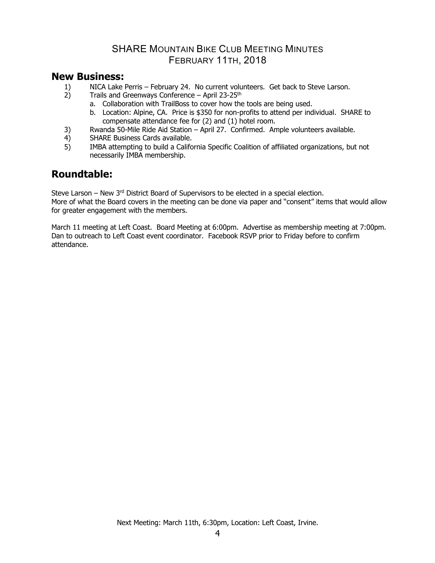### **New Business:**

- 1) NICA Lake Perris February 24. No current volunteers. Get back to Steve Larson.
- 2) Trails and Greenways Conference April  $23-25$ <sup>th</sup>
	- a. Collaboration with TrailBoss to cover how the tools are being used.
	- b. Location: Alpine, CA. Price is \$350 for non-profits to attend per individual. SHARE to compensate attendance fee for (2) and (1) hotel room.
- 3) Rwanda 50-Mile Ride Aid Station April 27. Confirmed. Ample volunteers available.
- 4) SHARE Business Cards available.
- 5) IMBA attempting to build a California Specific Coalition of affiliated organizations, but not necessarily IMBA membership.

### **Roundtable:**

Steve Larson – New  $3<sup>rd</sup>$  District Board of Supervisors to be elected in a special election. More of what the Board covers in the meeting can be done via paper and "consent" items that would allow for greater engagement with the members.

March 11 meeting at Left Coast. Board Meeting at 6:00pm. Advertise as membership meeting at 7:00pm. Dan to outreach to Left Coast event coordinator. Facebook RSVP prior to Friday before to confirm attendance.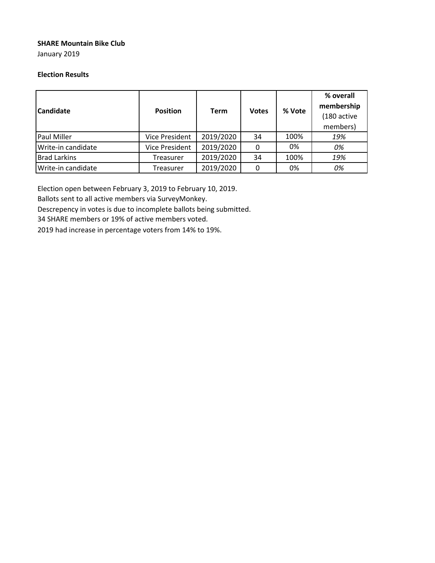#### **SHARE Mountain Bike Club**

January 2019

#### **Election Results**

| <b>Candidate</b>    | <b>Position</b>       | <b>Term</b> | <b>Votes</b> | % Vote | % overall<br>membership<br>(180 active<br>members) |
|---------------------|-----------------------|-------------|--------------|--------|----------------------------------------------------|
| <b>Paul Miller</b>  | <b>Vice President</b> | 2019/2020   | 34           | 100%   | 19%                                                |
| Write-in candidate  | <b>Vice President</b> | 2019/2020   | 0            | 0%     | 0%                                                 |
| <b>Brad Larkins</b> | Treasurer             | 2019/2020   | 34           | 100%   | 19%                                                |
| Write-in candidate  | Treasurer             | 2019/2020   | 0            | 0%     | 0%                                                 |

Election open between February 3, 2019 to February 10, 2019.

Ballots sent to all active members via SurveyMonkey.

Descrepency in votes is due to incomplete ballots being submitted.

34 SHARE members or 19% of active members voted.

2019 had increase in percentage voters from 14% to 19%.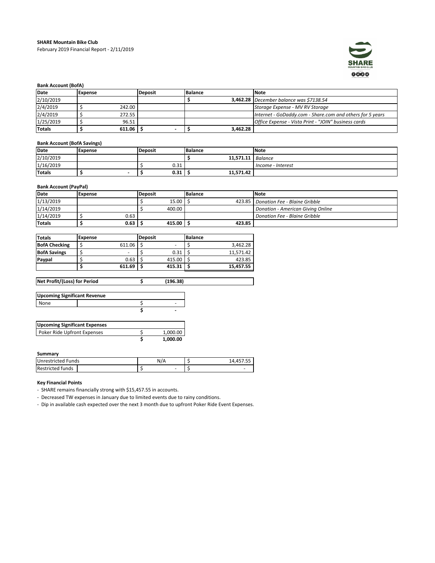

#### **Bank Account (BofA)**

| Date          | Expense | <b>Deposit</b> | Balance  | <b>Note</b>                                               |
|---------------|---------|----------------|----------|-----------------------------------------------------------|
| 2/10/2019     |         |                |          | <b>3,462.28</b> December balance was \$7138.54            |
| 2/4/2019      |         | 242.00         |          | Storage Expense - MV RV Storage                           |
| 2/4/2019      |         | 272.55         |          | Internet - GoDaddy.com - Share.com and others for 5 years |
| 1/25/2019     |         | 96.51          |          | Office Expense - Vista Print - "JOIN" business cards      |
| <b>Totals</b> |         | $611.06$ S     | 3,462.28 |                                                           |

#### **Bank Account (BofA Savings)**

| Date          | Expense                  | Deposit | <b>Balance</b> | Note              |
|---------------|--------------------------|---------|----------------|-------------------|
| 2/10/2019     |                          |         | 11.571.11      | <b>Balance</b>    |
| 1/16/2019     |                          | U.JI    |                | Income - Interest |
| <b>Totals</b> | $\overline{\phantom{a}}$ | 0.31    | 11,571.42      |                   |

#### **Bank Account (PayPal)**

| Date          | Expense | <b>Deposit</b> | <b>Balance</b> | <b>Note</b>                            |
|---------------|---------|----------------|----------------|----------------------------------------|
| 1/13/2019     |         | 15.00          |                | 423.85   Donation Fee - Blaine Gribble |
| 1/14/2019     |         | 400.00         |                | Donation - American Giving Online      |
| 1/14/2019     | 0.63    |                |                | Donation Fee - Blaine Gribble          |
| <b>Totals</b> | 0.63    | $415.00$ S     | 423.85         |                                        |

| <b>Totals</b>        | Expense |        | <b>Deposit</b> |        | <b>Balance</b> |           |
|----------------------|---------|--------|----------------|--------|----------------|-----------|
| <b>BofA Checking</b> |         | 611.06 |                | -      |                | 3.462.28  |
| <b>BofA Savings</b>  |         |        |                | 0.31   |                | 11.571.42 |
| Paypal               |         | 0.63   |                | 415.00 |                | 423.85    |
|                      |         | 611.69 |                | 415.31 |                | 15,457.55 |

**Net Profit/(Loss) for Period \$ (196.38)**

| <b>Upcoming Significant Revenue</b> |   |
|-------------------------------------|---|
| None                                | - |
|                                     | - |
|                                     |   |

| <b>Upcoming Significant Expenses</b> |          |
|--------------------------------------|----------|
| Poker Ride Upfront Expenses          | 1.000.00 |
|                                      | 1.000.00 |

#### **Summary**

| <b>Unrestricted Funds</b> | N/A | 14.457.55 |
|---------------------------|-----|-----------|
| <b>Restricted funds</b>   |     |           |

#### **Key Financial Points**

- SHARE remains financially strong with \$15,457.55 in accounts.

- Decreased TW expenses in January due to limited events due to rainy conditions.

- Dip in available cash expected over the next 3 month due to upfront Poker Ride Event Expenses.